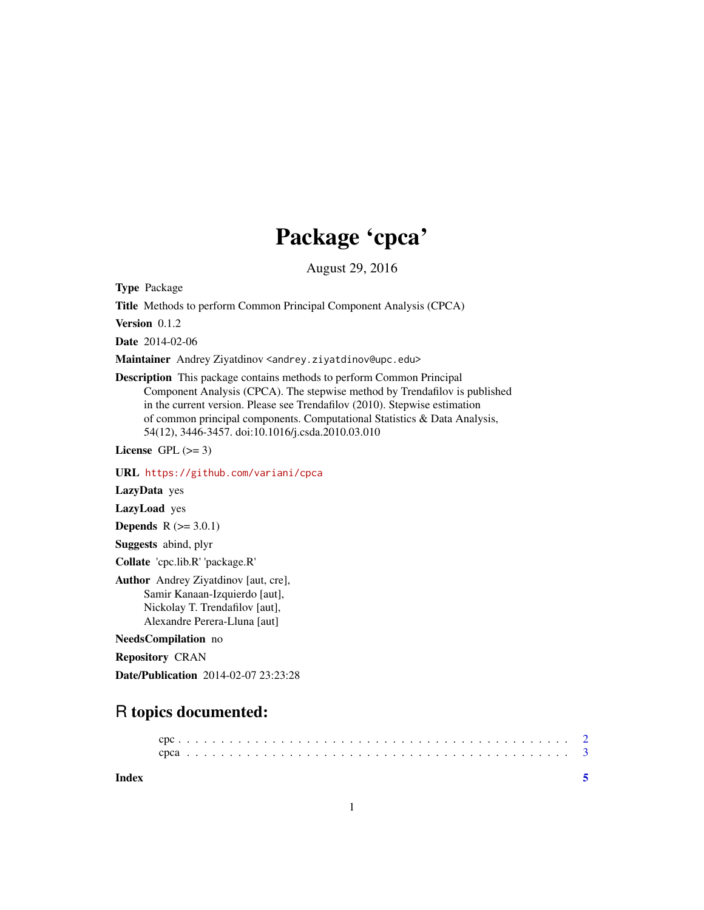## Package 'cpca'

August 29, 2016

Type Package

Title Methods to perform Common Principal Component Analysis (CPCA)

Version 0.1.2

Date 2014-02-06

Maintainer Andrey Ziyatdinov <andrey.ziyatdinov@upc.edu>

Description This package contains methods to perform Common Principal Component Analysis (CPCA). The stepwise method by Trendafilov is published in the current version. Please see Trendafilov (2010). Stepwise estimation of common principal components. Computational Statistics & Data Analysis, 54(12), 3446-3457. doi:10.1016/j.csda.2010.03.010

License GPL  $(>= 3)$ 

URL <https://github.com/variani/cpca>

LazyData yes

LazyLoad yes

**Depends**  $R (= 3.0.1)$ 

Suggests abind, plyr

Collate 'cpc.lib.R' 'package.R'

Author Andrey Ziyatdinov [aut, cre], Samir Kanaan-Izquierdo [aut], Nickolay T. Trendafilov [aut], Alexandre Perera-Lluna [aut]

#### NeedsCompilation no

Repository CRAN

Date/Publication 2014-02-07 23:23:28

### R topics documented:

**Index** [5](#page-4-0). The second state of the second state of the second state of the second state of the second state of the second state of the second state of the second state of the second state of the second state of the second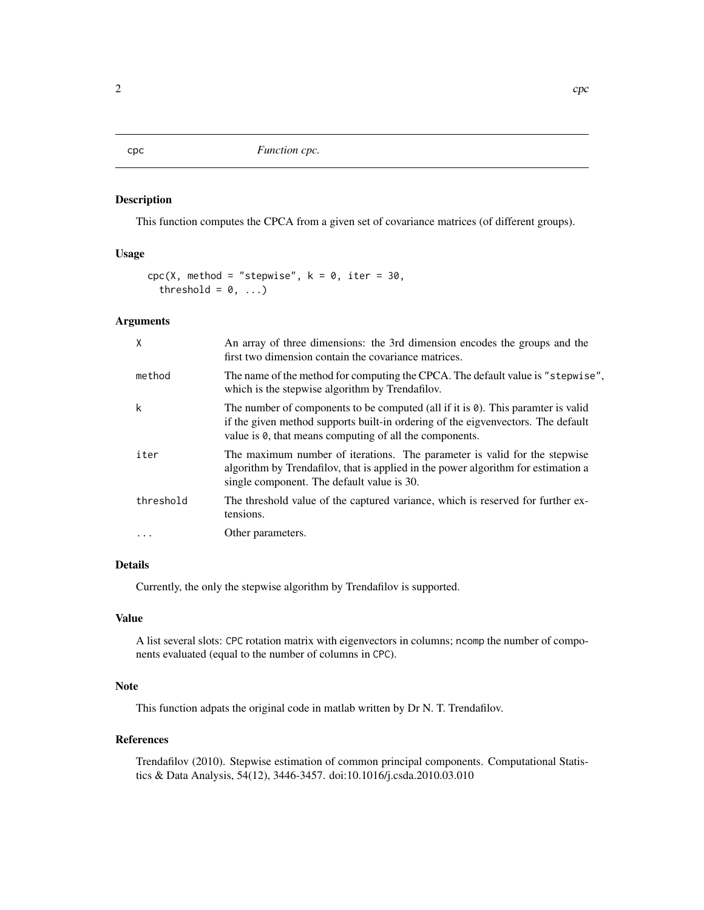#### Description

This function computes the CPCA from a given set of covariance matrices (of different groups).

#### Usage

```
cpc(X, method = "stepwise", k = 0, iter = 30,threshold = 0, ...)
```
#### Arguments

| $\mathsf{X}$ | An array of three dimensions: the 3rd dimension encodes the groups and the<br>first two dimension contain the covariance matrices.                                                                                                              |  |
|--------------|-------------------------------------------------------------------------------------------------------------------------------------------------------------------------------------------------------------------------------------------------|--|
| method       | The name of the method for computing the CPCA. The default value is "stepwise",<br>which is the stepwise algorithm by Trendafilov.                                                                                                              |  |
| k            | The number of components to be computed (all if it is $\theta$ ). This paramter is valid<br>if the given method supports built-in ordering of the eigvenvectors. The default<br>value is $\theta$ , that means computing of all the components. |  |
| iter         | The maximum number of iterations. The parameter is valid for the stepwise<br>algorithm by Trendafilov, that is applied in the power algorithm for estimation a<br>single component. The default value is 30.                                    |  |
| threshold    | The threshold value of the captured variance, which is reserved for further ex-<br>tensions.                                                                                                                                                    |  |
|              | Other parameters.                                                                                                                                                                                                                               |  |

#### Details

Currently, the only the stepwise algorithm by Trendafilov is supported.

#### Value

A list several slots: CPC rotation matrix with eigenvectors in columns; ncomp the number of components evaluated (equal to the number of columns in CPC).

#### Note

This function adpats the original code in matlab written by Dr N. T. Trendafilov.

#### References

Trendafilov (2010). Stepwise estimation of common principal components. Computational Statistics & Data Analysis, 54(12), 3446-3457. doi:10.1016/j.csda.2010.03.010

<span id="page-1-0"></span>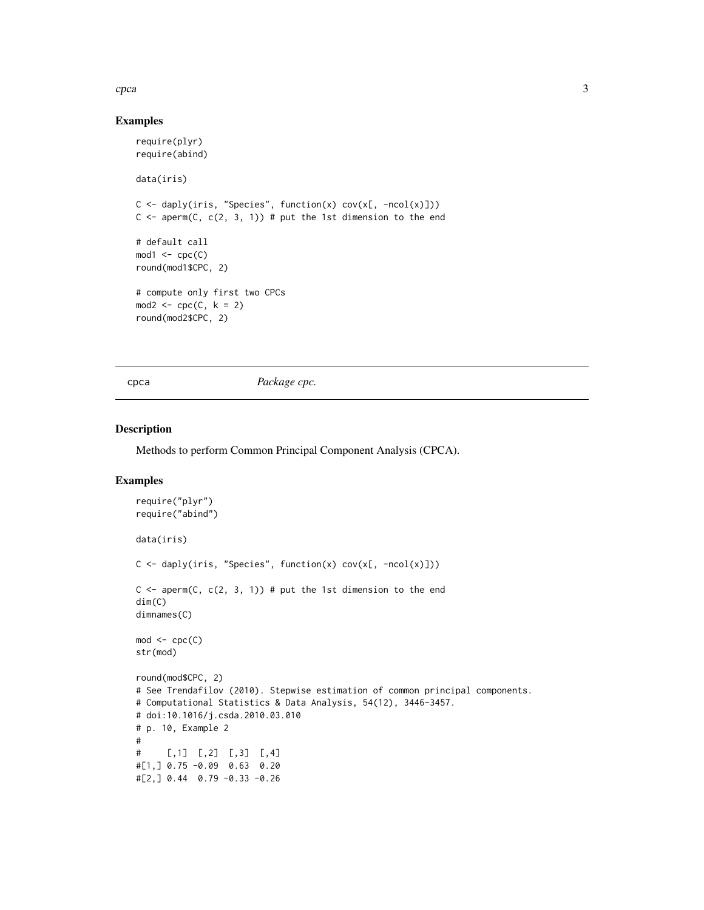#### <span id="page-2-0"></span> $c_{pca}$  3

#### Examples

```
require(plyr)
require(abind)
data(iris)
C \leftarrow daply(iris, "Species", function(x) cov(x[, -ncol(x)]))
C \leq - aperm(C, C(2, 3, 1)) # put the 1st dimension to the end
# default call
mod1 <- cpc(C)round(mod1$CPC, 2)
# compute only first two CPCs
mod2 \leq cpc(C, k = 2)
round(mod2$CPC, 2)
```
cpca *Package cpc.*

#### Description

Methods to perform Common Principal Component Analysis (CPCA).

#### Examples

```
require("plyr")
require("abind")
data(iris)
C \leftarrow daply(iris, "Species", function(x) cov(x[, -ncol(x)]))
C \leq - aperm(C, C(2, 3, 1)) # put the 1st dimension to the end
dim(C)
dimnames(C)
mod < - cpc(C)str(mod)
round(mod$CPC, 2)
# See Trendafilov (2010). Stepwise estimation of common principal components.
# Computational Statistics & Data Analysis, 54(12), 3446-3457.
# doi:10.1016/j.csda.2010.03.010
# p. 10, Example 2
#
# [,1] [,2] [,3] [,4]
#[1,] 0.75 -0.09 0.63 0.20
#[2,] 0.44 0.79 -0.33 -0.26
```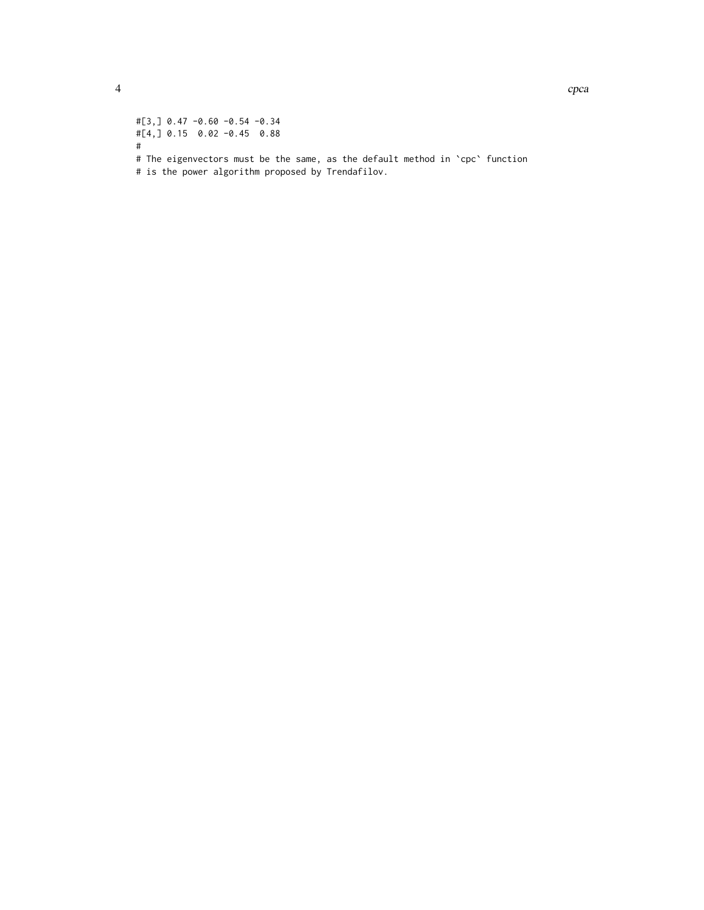#[3,] 0.47 -0.60 -0.54 -0.34 #[4,] 0.15 0.02 -0.45 0.88 # # The eigenvectors must be the same, as the default method in `cpc` function # is the power algorithm proposed by Trendafilov.